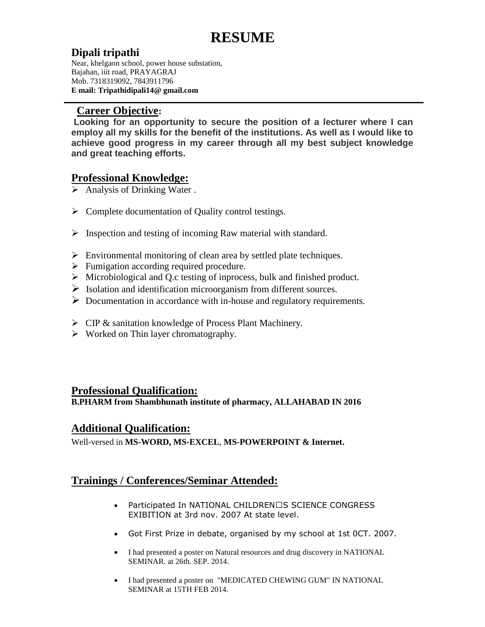# **RESUME**

# **Dipali tripathi**

Near, khelgaon school, power house substation, Bajahan, iiit road, PRAYAGRAJ Mob. 7318319092, 7843911796 **E mail: Tripathidipali14@ gmail.com**

#### **Career Objective:**

**Looking for an opportunity to secure the position of a lecturer where I can employ all my skills for the benefit of the institutions. As well as I would like to achieve good progress in my career through all my best subject knowledge and great teaching efforts.**

# **Professional Knowledge:**

- $\triangleright$  Analysis of Drinking Water.
- $\triangleright$  Complete documentation of Quality control testings.
- $\triangleright$  Inspection and testing of incoming Raw material with standard.
- $\triangleright$  Environmental monitoring of clean area by settled plate techniques.
- $\triangleright$  Fumigation according required procedure.
- Microbiological and Q.c testing of inprocess, bulk and finished product.
- $\triangleright$  Isolation and identification microorganism from different sources.
- $\triangleright$  Documentation in accordance with in-house and regulatory requirements.
- CIP & sanitation knowledge of Process Plant Machinery.
- $\triangleright$  Worked on Thin layer chromatography.

### **Professional Qualification:**

**B.PHARM from Shambhunath institute of pharmacy, ALLAHABAD IN 2016**

### **Additional Qualification:**

Well-versed in **MS-WORD, MS-EXCEL**, **MS-POWERPOINT & Internet.**

## **Trainings / Conferences/Seminar Attended:**

- Participated In NATIONAL CHILDREN' S SCIENCE CONGRESS EXIBITION at 3rd nov. 2007 At state level.
- Got First Prize in debate, organised by my school at 1st 0CT. 2007.
- I had presented a poster on Natural resources and drug discovery in NATIONAL SEMINAR. at 26th. SEP. 2014.
- I had presented a poster on "MEDICATED CHEWING GUM" IN NATIONAL SEMINAR at 15TH FEB 2014.